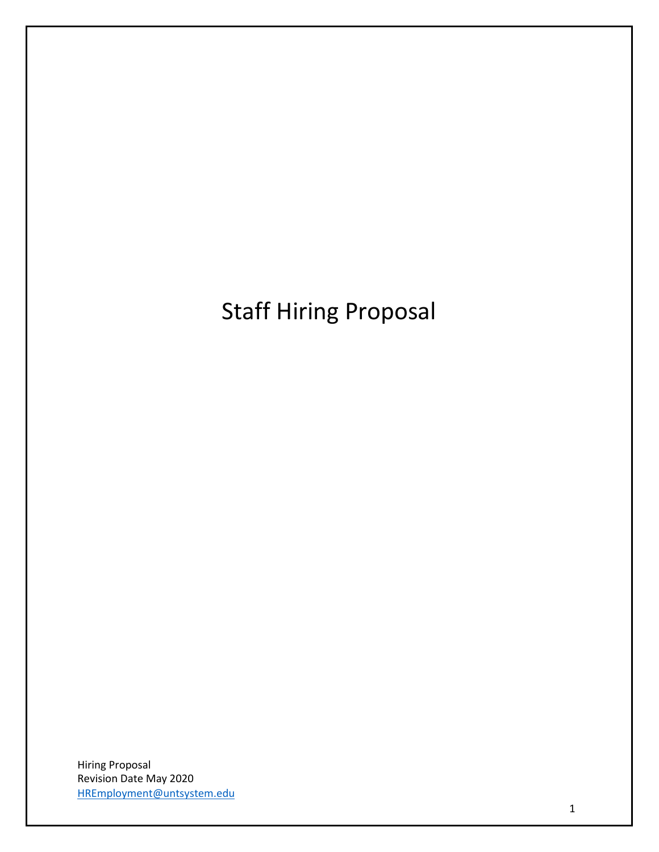Staff Hiring Proposal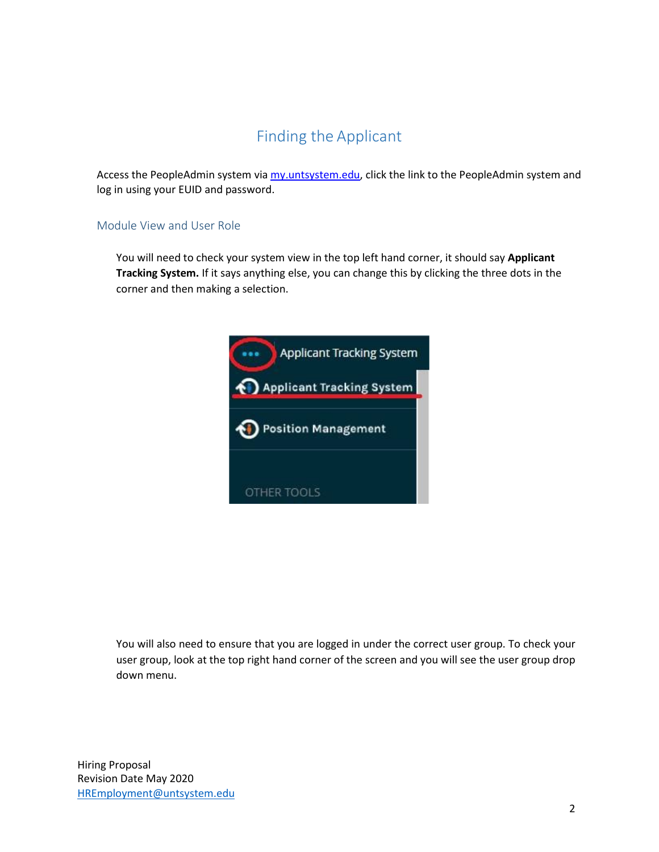### Finding the Applicant

Access [the PeopleAdmin system v](https://jobs.untsystem.edu/)i[a my.untsystem.edu, c](https://portal.unt.edu/psp/ps/EMPLOYEE/EMPL/h/?tab=SYPA_GUEST)lick the link to the PeopleAdmin system and log in using your EUID and password.

### Module View and User Role

You will need to check your system view in the top left hand corner, it should say **Applicant Tracking System.** If it says anything else, you can change this by clicking the three dots in the corner and then making a selection.



You will also need to ensure that you are logged in under the correct user group. To check your user group, look at the top right hand corner of the screen and you will see the user group drop down menu.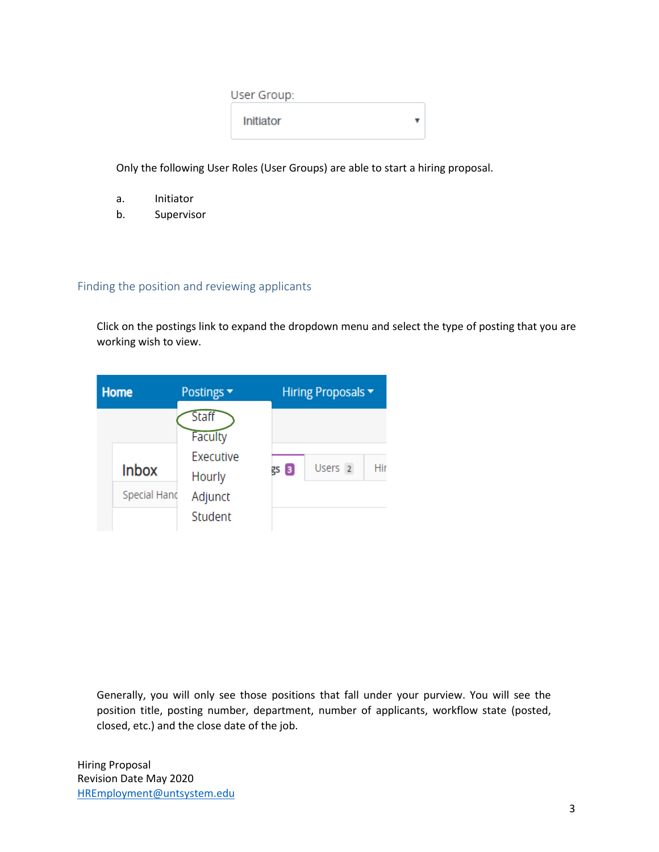| User Group:      |  |
|------------------|--|
| <b>Initiator</b> |  |

Only the following User Roles (User Groups) are able to start a hiring proposal.

- a. Initiator
- b. Supervisor

### Finding the position and reviewing applicants

Click on the postings link to expand the dropdown menu and select the type of posting that you are working wish to view.



Generally, you will only see those positions that fall under your purview. You will see the position title, posting number, department, number of applicants, workflow state (posted, closed, etc.) and the close date of the job.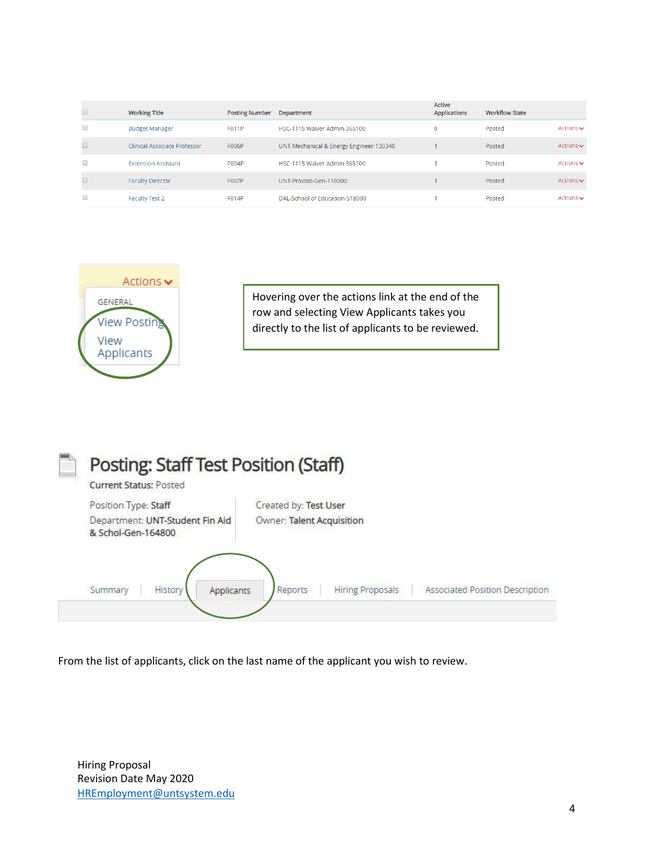|        | <b>Working Title</b>                | <b>Posting Number</b> | Department                              | Active<br><b>Applications</b> | <b>Workflow State</b> |                               |
|--------|-------------------------------------|-----------------------|-----------------------------------------|-------------------------------|-----------------------|-------------------------------|
| $\Box$ | <b>Budget Manager</b>               | <b>F011P</b>          | HSC-1115 Waiver Admin-365100            | 0                             | Posted                | Actions $\sim$                |
|        | <b>Clinical Associate Professor</b> | <b>F006P</b>          | UNT-Mechanical & Energy Engineer-130340 |                               | Posted                | Actions $\sim$                |
| 0      | <b>Extension Assistant</b>          | F004P                 | HSC-1115 Waiver Admin-365100            | 3                             | Posted                | Actions $\sim$                |
|        | <b>Faculty Director</b>             | <b>F007P</b>          | UNT-Provost-Gen-110000                  |                               | Posted                | Actions $\blacktriangleright$ |
|        | <b>Faculty Test 2</b>               | F014P                 | DAL-School of Education-518000          |                               | Posted                | Actions $\sim$                |



Hovering over the actions link at the end of the row and selecting View Applicants takes you directly to the list of applicants to be reviewed.



From the list of applicants, click on the last name of the applicant you wish to review.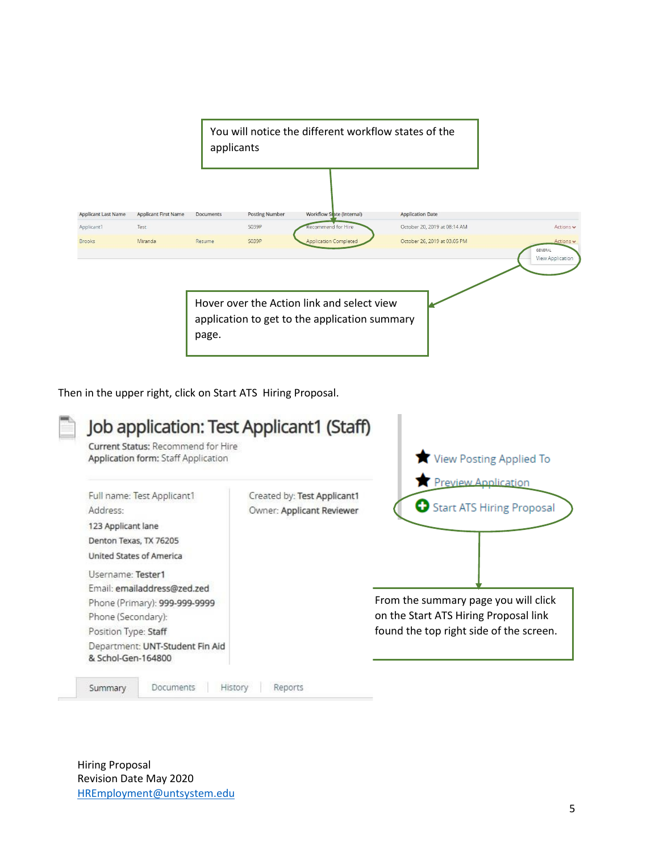

Then in the upper right, click on Start ATS Hiring Proposal.

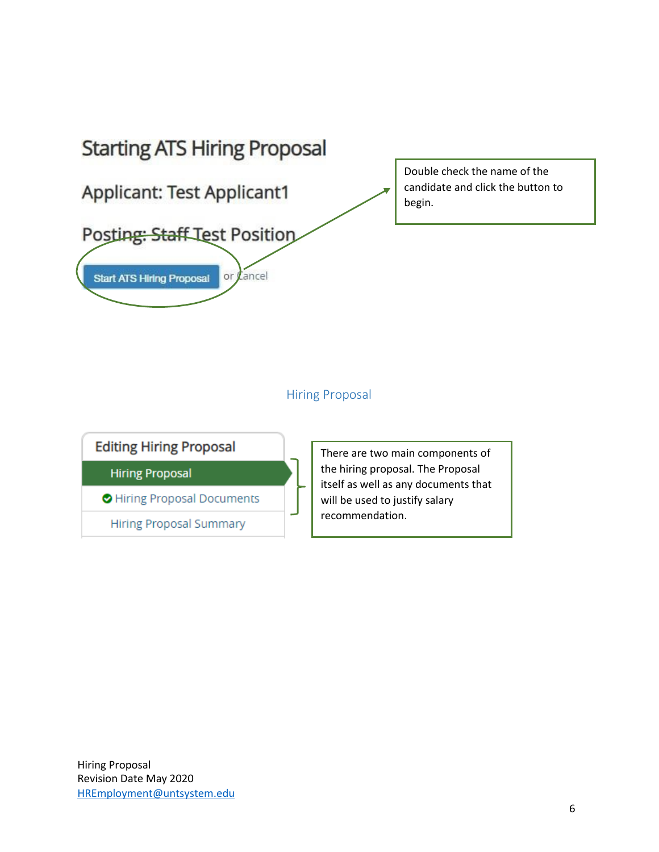

### Hiring Proposal

**Editing Hiring Proposal** 

**Hiring Proposal** 

Hiring Proposal Documents

**Hiring Proposal Summary** 

There are two main components of the hiring proposal. The Proposal itself as well as any documents that will be used to justify salary recommendation.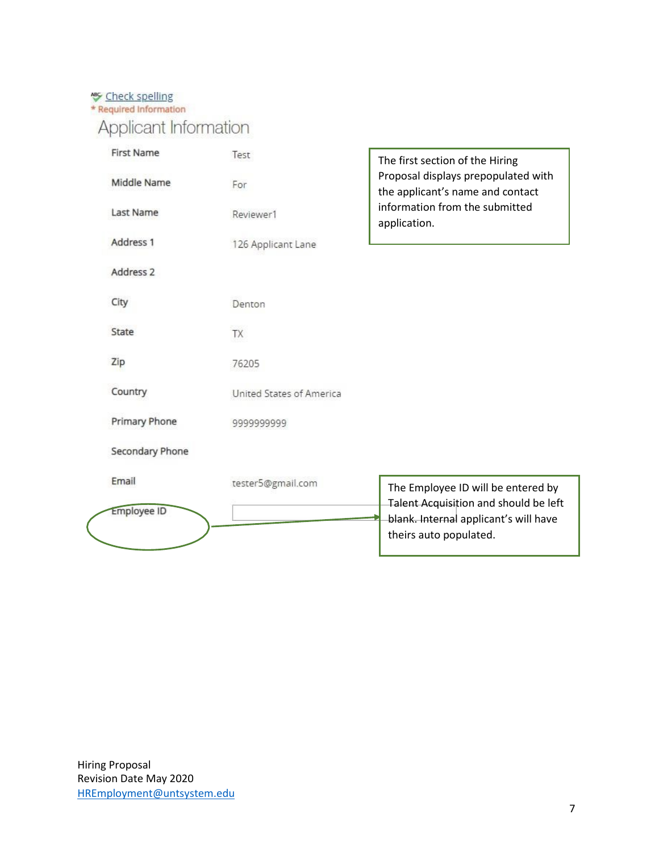# **S** Check spelling<br>\* Required Information

## Applicant Information

| <b>First Name</b>    | Test                     | The first section of the Hiring                                                |
|----------------------|--------------------------|--------------------------------------------------------------------------------|
| Middle Name          | For                      | Proposal displays prepopulated with<br>the applicant's name and contact        |
| Last Name            | Reviewer1                | information from the submitted<br>application.                                 |
| Address 1            | 126 Applicant Lane       |                                                                                |
| Address <sub>2</sub> |                          |                                                                                |
| City                 | Denton                   |                                                                                |
| State                | TX                       |                                                                                |
| Zip                  | 76205                    |                                                                                |
| Country              | United States of America |                                                                                |
| Primary Phone        | 999999999                |                                                                                |
| Secondary Phone      |                          |                                                                                |
| Email                | tester5@gmail.com        | The Employee ID will be entered by                                             |
| <b>Employee ID</b>   |                          | Talent Acquisition and should be left<br>blank. Internal applicant's will have |
|                      |                          | theirs auto populated.                                                         |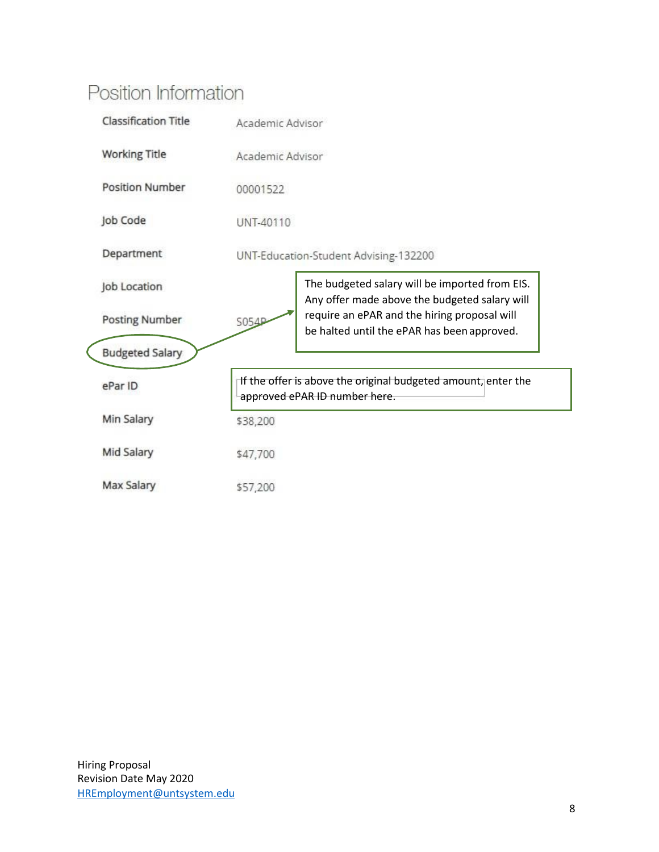## Position Information

|  | <b>Classification Title</b> | Academic Advisor                                                                               |                                                                                                 |  |  |
|--|-----------------------------|------------------------------------------------------------------------------------------------|-------------------------------------------------------------------------------------------------|--|--|
|  | <b>Working Title</b>        | Academic Advisor<br>00001522<br>UNT-40110                                                      |                                                                                                 |  |  |
|  | <b>Position Number</b>      |                                                                                                |                                                                                                 |  |  |
|  | Job Code                    |                                                                                                |                                                                                                 |  |  |
|  | Department                  | UNT-Education-Student Advising-132200                                                          |                                                                                                 |  |  |
|  | Job Location                |                                                                                                | The budgeted salary will be imported from EIS.<br>Any offer made above the budgeted salary will |  |  |
|  | <b>Posting Number</b>       | S054P                                                                                          | require an ePAR and the hiring proposal will<br>be halted until the ePAR has been approved.     |  |  |
|  | <b>Budgeted Salary</b>      |                                                                                                |                                                                                                 |  |  |
|  | ePar ID                     | If the offer is above the original budgeted amount, enter the<br>approved ePAR ID number here. |                                                                                                 |  |  |
|  | Min Salary                  | \$38,200                                                                                       |                                                                                                 |  |  |
|  | Mid Salary                  | \$47,700                                                                                       |                                                                                                 |  |  |
|  | Max Salary                  | \$57,200                                                                                       |                                                                                                 |  |  |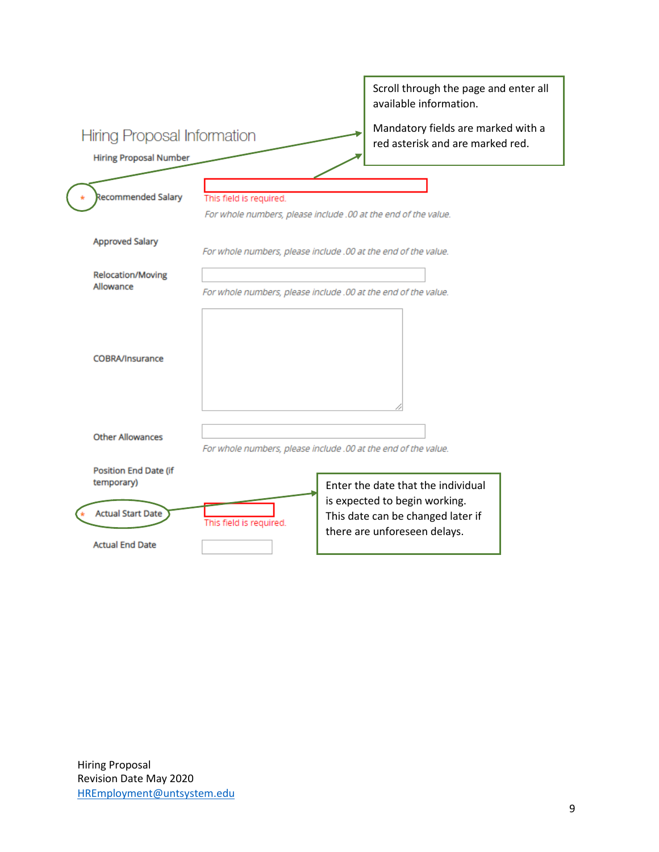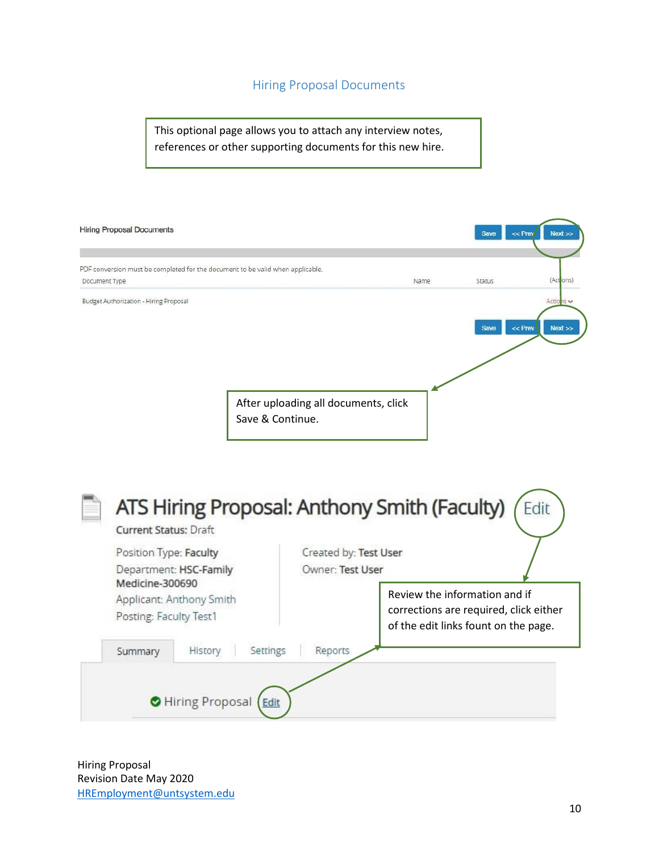### Hiring Proposal Documents

This optional page allows you to attach any interview notes, references or other supporting documents for this new hire.

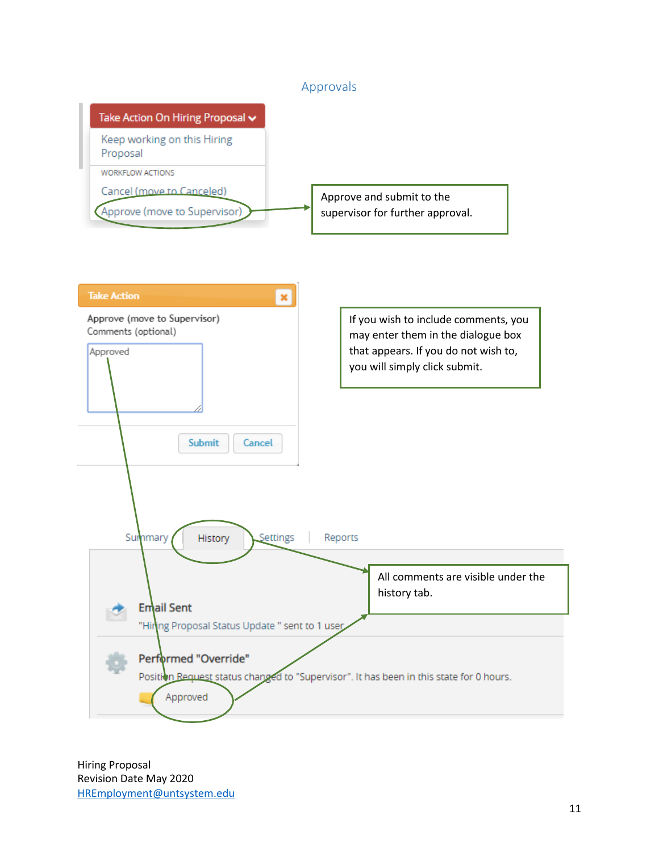### Approvals